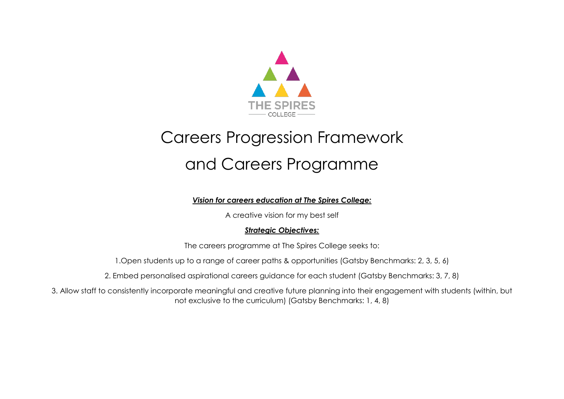

## Careers Progression Framework and Careers Programme

## *Vision for careers education at The Spires College:*

A creative vision for my best self

## *Strategic Objectives:*

The careers programme at The Spires College seeks to:

1.Open students up to a range of career paths & opportunities (Gatsby Benchmarks: 2, 3, 5, 6)

2. Embed personalised aspirational careers guidance for each student (Gatsby Benchmarks: 3, 7, 8)

3. Allow staff to consistently incorporate meaningful and creative future planning into their engagement with students (within, but not exclusive to the curriculum) (Gatsby Benchmarks: 1, 4, 8)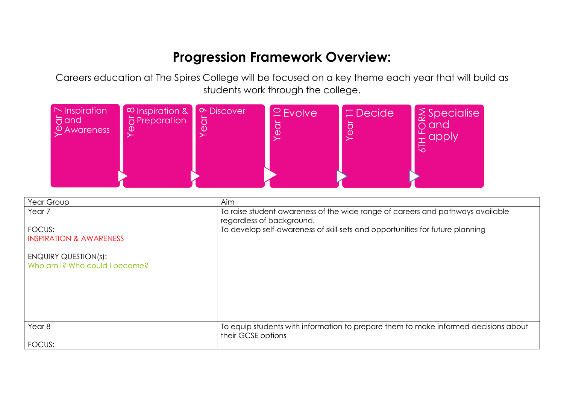## **Progression Framework Overview:**

Careers education at The Spires College will be focused on a key theme each year that will build as students work through the college.



| Year Group                                            | Aim                                                                                                         |
|-------------------------------------------------------|-------------------------------------------------------------------------------------------------------------|
| Year <sub>7</sub>                                     | To raise student awareness of the wide range of careers and pathways available<br>regardless of background. |
| FOCUS:                                                | To develop self-awareness of skill-sets and opportunities for future planning                               |
| <b>INSPIRATION &amp; AWARENESS</b>                    |                                                                                                             |
| ENQUIRY QUESTION(s):<br>Who am I? Who could I become? |                                                                                                             |
|                                                       |                                                                                                             |
| Year <sub>8</sub>                                     | To equip students with information to prepare them to make informed decisions about<br>their GCSE options   |
| FOCUS:                                                |                                                                                                             |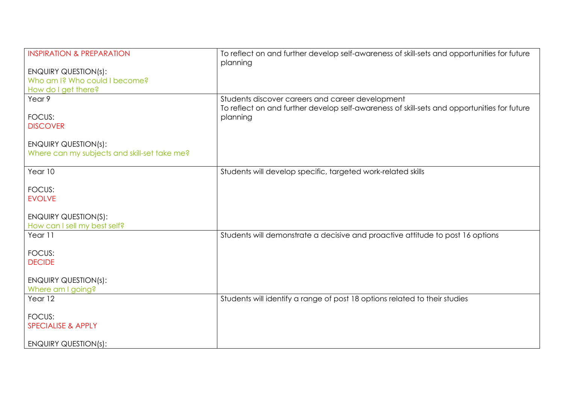| <b>INSPIRATION &amp; PREPARATION</b>         | To reflect on and further develop self-awareness of skill-sets and opportunities for future |
|----------------------------------------------|---------------------------------------------------------------------------------------------|
|                                              | planning                                                                                    |
| <b>ENQUIRY QUESTION(s):</b>                  |                                                                                             |
| Who am I? Who could I become?                |                                                                                             |
| How do I get there?                          |                                                                                             |
| Year 9                                       | Students discover careers and career development                                            |
|                                              | To reflect on and further develop self-awareness of skill-sets and opportunities for future |
| FOCUS:                                       | planning                                                                                    |
| <b>DISCOVER</b>                              |                                                                                             |
|                                              |                                                                                             |
| <b>ENQUIRY QUESTION(s):</b>                  |                                                                                             |
| Where can my subjects and skill-set take me? |                                                                                             |
|                                              |                                                                                             |
| Year 10                                      | Students will develop specific, targeted work-related skills                                |
|                                              |                                                                                             |
| FOCUS:                                       |                                                                                             |
| <b>EVOLVE</b>                                |                                                                                             |
|                                              |                                                                                             |
| <b>ENQUIRY QUESTION(S):</b>                  |                                                                                             |
| How can I sell my best self?                 |                                                                                             |
| Year 11                                      | Students will demonstrate a decisive and proactive attitude to post 16 options              |
|                                              |                                                                                             |
| FOCUS:                                       |                                                                                             |
| <b>DECIDE</b>                                |                                                                                             |
|                                              |                                                                                             |
|                                              |                                                                                             |
| <b>ENQUIRY QUESTION(s):</b>                  |                                                                                             |
| Where am I going?                            |                                                                                             |
| Year 12                                      | Students will identify a range of post 18 options related to their studies                  |
|                                              |                                                                                             |
| FOCUS:                                       |                                                                                             |
| <b>SPECIALISE &amp; APPLY</b>                |                                                                                             |
|                                              |                                                                                             |
| <b>ENQUIRY QUESTION(s):</b>                  |                                                                                             |